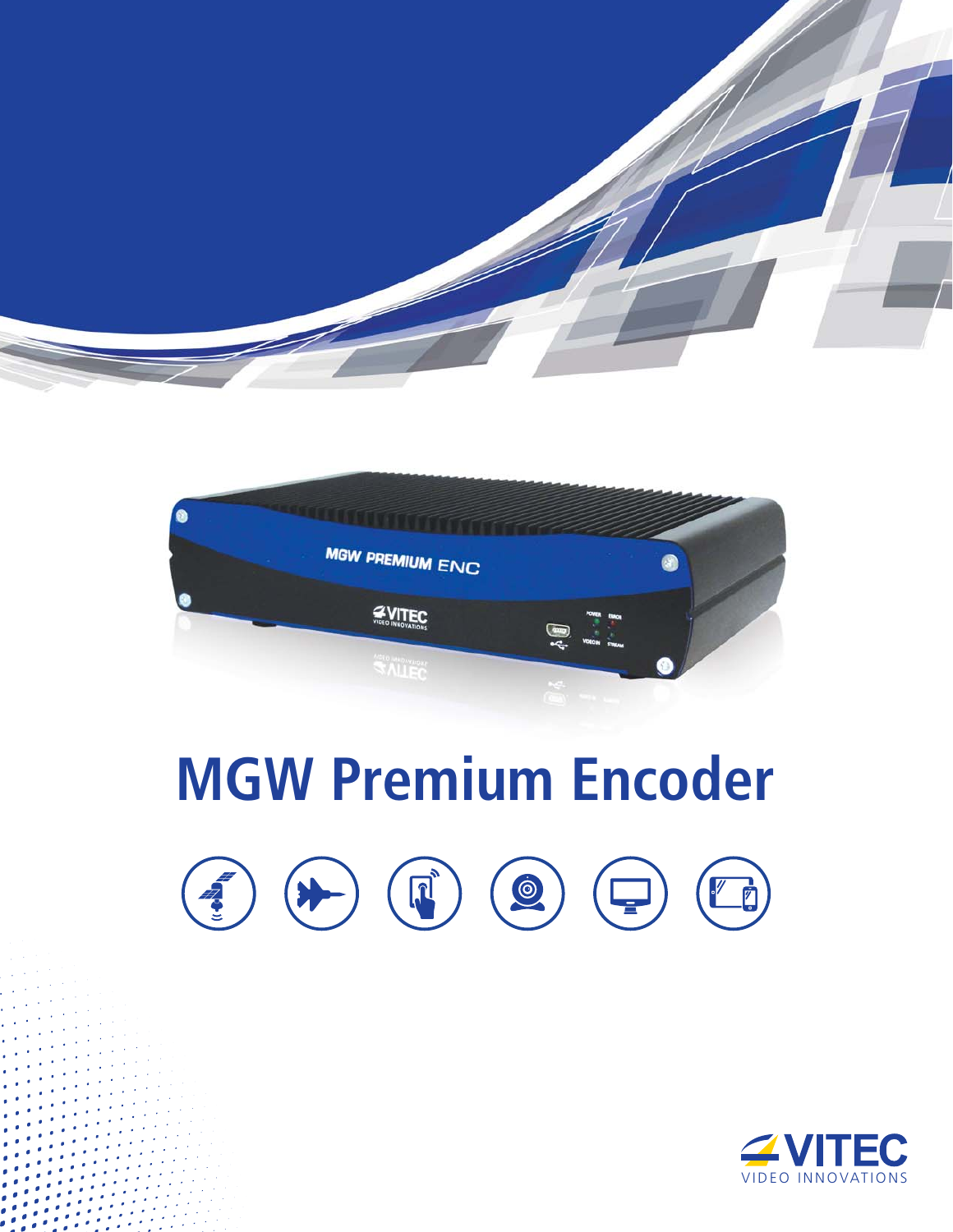



# **MGW Premium Encoder**

400000

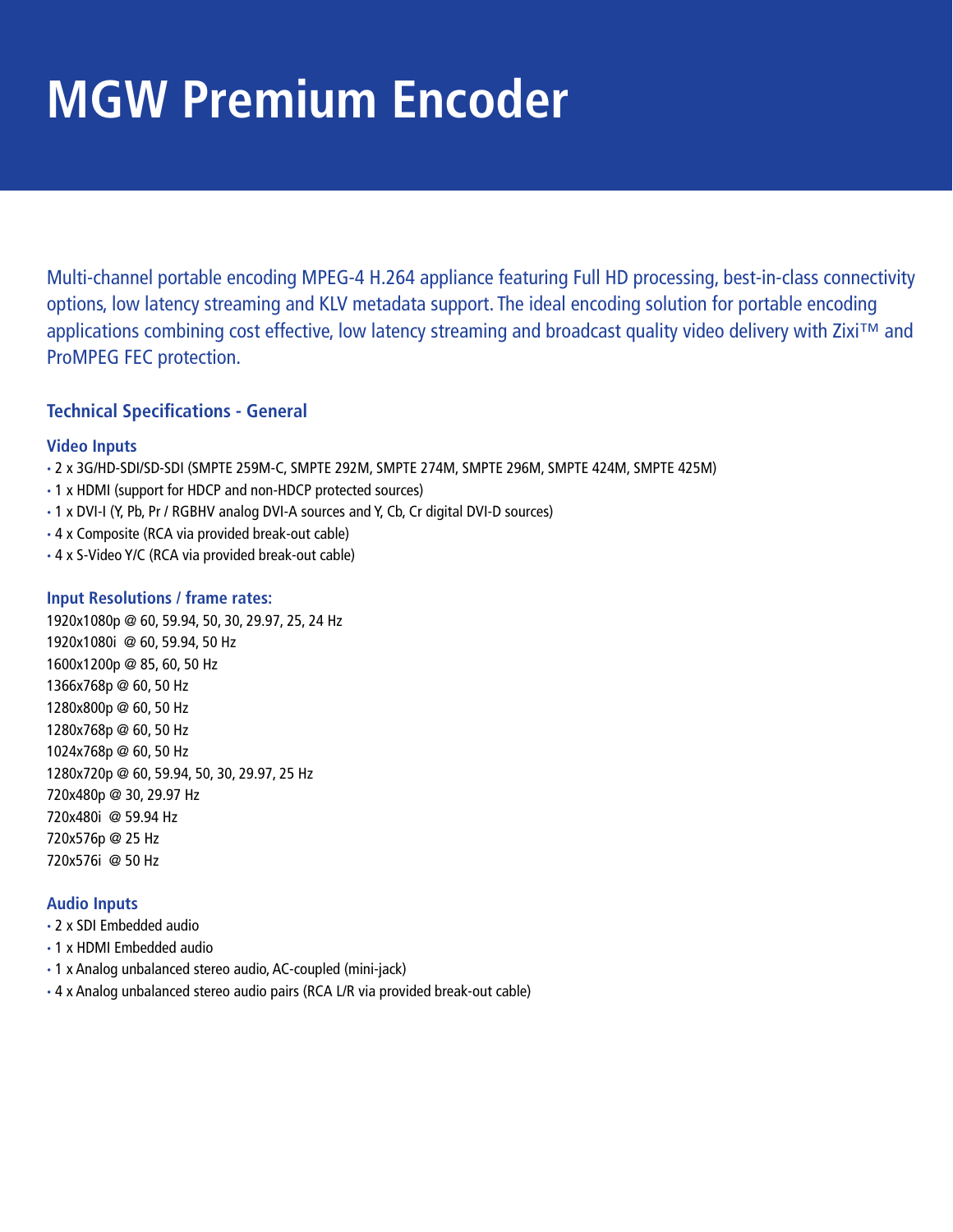# **MGW Premium Encoder**

Multi-channel portable encoding MPEG-4 H.264 appliance featuring Full HD processing, best-in-class connectivity options, low latency streaming and KLV metadata support. The ideal encoding solution for portable encoding applications combining cost effective, low latency streaming and broadcast quality video delivery with Zixi™ and ProMPEG FEC protection.

# **Technical Specifications - General**

#### **Video Inputs**

- **·** 2 x 3G/HD-SDI/SD-SDI (SMPTE 259M-C, SMPTE 292M, SMPTE 274M, SMPTE 296M, SMPTE 424M, SMPTE 425M)
- **·** 1 x HDMI (support for HDCP and non-HDCP protected sources)
- **·** 1 x DVI-I (Y, Pb, Pr / RGBHV analog DVI-A sources and Y, Cb, Cr digital DVI-D sources)
- **·** 4 x Composite (RCA via provided break-out cable)
- **·** 4 x S-Video Y/C (RCA via provided break-out cable)

#### **Input Resolutions / frame rates:**

1920x1080p @ 60, 59.94, 50, 30, 29.97, 25, 24 Hz 1920x1080i @ 60, 59.94, 50 Hz 1600x1200p @ 85, 60, 50 Hz 1366x768p @ 60, 50 Hz 1280x800p @ 60, 50 Hz 1280x768p @ 60, 50 Hz 1024x768p @ 60, 50 Hz 1280x720p @ 60, 59.94, 50, 30, 29.97, 25 Hz 720x480p @ 30, 29.97 Hz 720x480i @ 59.94 Hz 720x576p @ 25 Hz 720x576i @ 50 Hz

#### **Audio Inputs**

- **·** 2 x SDI Embedded audio
- **·** 1 x HDMI Embedded audio
- **·** 1 x Analog unbalanced stereo audio, AC-coupled (mini-jack)
- **·** 4 x Analog unbalanced stereo audio pairs (RCA L/R via provided break-out cable)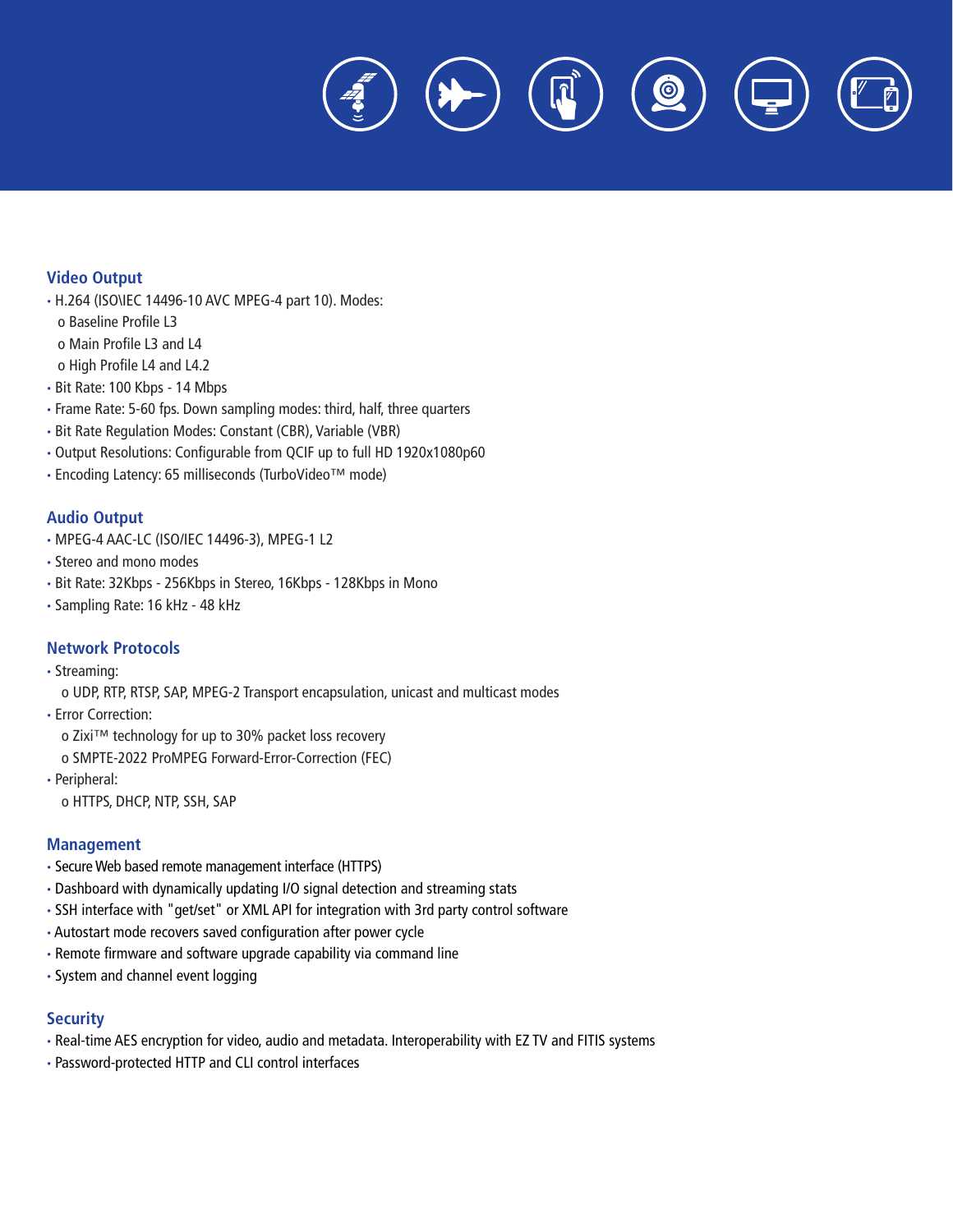$\dot{\textcirc}$ 

#### **Video Output**

- **·** H.264 (ISO\IEC 14496-10 AVC MPEG-4 part 10). Modes:
- o Baseline Profile L3
- o Main Profile L3 and L4
- o High Profile L4 and L4.2
- **·** Bit Rate: 100 Kbps 14 Mbps
- **·** Frame Rate: 5-60 fps. Down sampling modes: third, half, three quarters
- **·** Bit Rate Regulation Modes: Constant (CBR), Variable (VBR)
- **·** Output Resolutions: Configurable from QCIF up to full HD 1920x1080p60
- **·** Encoding Latency: 65 milliseconds (TurboVideo™ mode)

#### **Audio Output**

- **·** MPEG-4 AAC-LC (ISO/IEC 14496-3), MPEG-1 L2
- **·** Stereo and mono modes
- **·** Bit Rate: 32Kbps 256Kbps in Stereo, 16Kbps 128Kbps in Mono
- **·** Sampling Rate: 16 kHz 48 kHz

#### **Network Protocols**

- **·** Streaming:
	- o UDP, RTP, RTSP, SAP, MPEG-2 Transport encapsulation, unicast and multicast modes
- **·** Error Correction:
	- o Zixi™ technology for up to 30% packet loss recovery
	- o SMPTE-2022 ProMPEG Forward-Error-Correction (FEC)
- **·** Peripheral:

o HTTPS, DHCP, NTP, SSH, SAP

#### **Management**

- **·** Secure Web based remote management interface (HTTPS)
- **·** Dashboard with dynamically updating I/O signal detection and streaming stats
- **·** SSH interface with "get/set" or XML API for integration with 3rd party control software
- **·** Autostart mode recovers saved configuration after power cycle
- **·** Remote firmware and software upgrade capability via command line
- **·** System and channel event logging

#### **Security**

- **·** Real-time AES encryption for video, audio and metadata. Interoperability with EZ TV and FITIS systems
- **·** Password-protected HTTP and CLI control interfaces